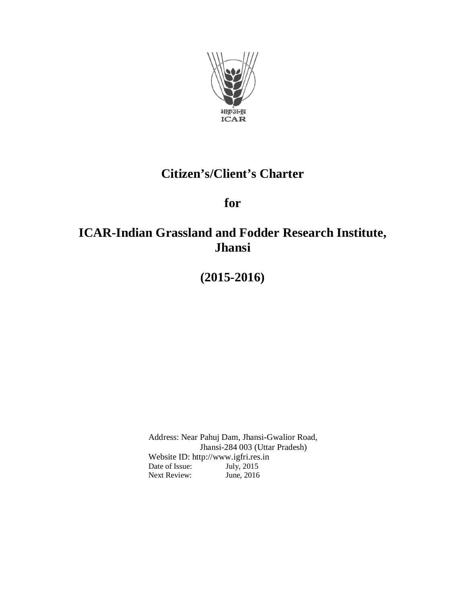

# **Citizen's/Client's Charter**

**for**

# **ICAR-Indian Grassland and Fodder Research Institute, Jhansi**

**(2015-2016)**

Address: Near Pahuj Dam, Jhansi-Gwalior Road, Jhansi-284 003 (Uttar Pradesh) Website ID: http://www.igfri.res.in<br>Date of Issue: July, 2015 Date of Issue: July, 2015<br>Next Review: June, 2016 Next Review: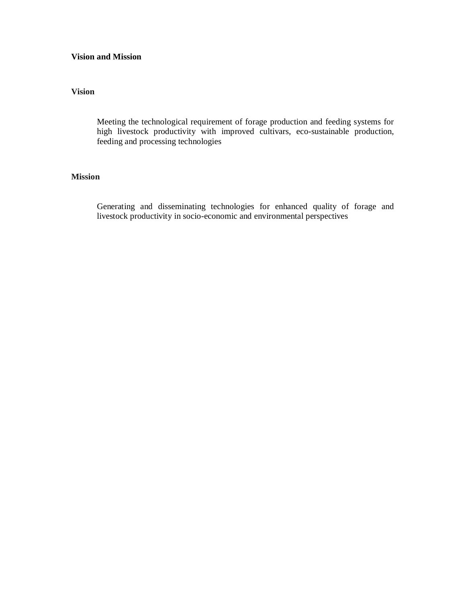#### **Vision and Mission**

#### **Vision**

Meeting the technological requirement of forage production and feeding systems for high livestock productivity with improved cultivars, eco-sustainable production, feeding and processing technologies

#### **Mission**

Generating and disseminating technologies for enhanced quality of forage and livestock productivity in socio-economic and environmental perspectives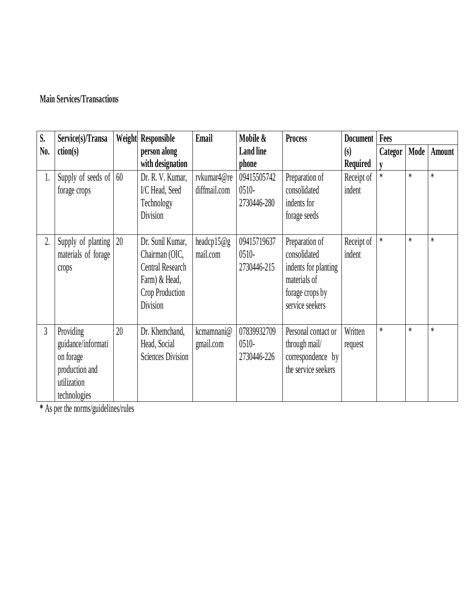## **Main Services/Transactions**

| S.             | Service(s)/Transa             | Weight | Responsible              | Email         | Mobile &         | <b>Process</b>       | Document        | Fees    |        |        |
|----------------|-------------------------------|--------|--------------------------|---------------|------------------|----------------------|-----------------|---------|--------|--------|
| No.            | ction(s)                      |        | person along             |               | <b>Land line</b> |                      | (s)             | Categor | Mode   | Amount |
|                |                               |        | with designation         |               | phone            |                      | <b>Required</b> |         |        |        |
| 1.             | Supply of seeds of $\vert$ 60 |        | Dr. R. V. Kumar,         | rvkumar4@re   | 09415505742      | Preparation of       | Receipt of      | $\ast$  | $\ast$ | $\ast$ |
|                | forage crops                  |        | I/C Head, Seed           | diffmail.com  | $0510-$          | consolidated         | indent          |         |        |        |
|                |                               |        | Technology               |               | 2730446-280      | indents for          |                 |         |        |        |
|                |                               |        | Division                 |               |                  | forage seeds         |                 |         |        |        |
|                |                               |        |                          |               |                  |                      |                 |         |        |        |
| 2.             | Supply of planting            | 20     | Dr. Sunil Kumar,         | headcp15 $@g$ | 09415719637      | Preparation of       | Receipt of      | *       | $\ast$ | $\ast$ |
|                | materials of forage           |        | Chairman (OIC,           | mail.com      | $0510-$          | consolidated         | indent          |         |        |        |
|                | crops                         |        | <b>Central Research</b>  |               | 2730446-215      | indents for planting |                 |         |        |        |
|                |                               |        | Farm) & Head,            |               |                  | materials of         |                 |         |        |        |
|                |                               |        | Crop Production          |               |                  | forage crops by      |                 |         |        |        |
|                |                               |        | Division                 |               |                  | service seekers      |                 |         |        |        |
|                |                               |        |                          |               |                  |                      |                 |         |        |        |
| $\overline{3}$ | Providing                     | 20     | Dr. Khemchand,           | kcmamnani@    | 07839932709      | Personal contact or  | Written         | $\ast$  | $\ast$ | $\ast$ |
|                | guidance/informati            |        | Head, Social             | gmail.com     | $0510-$          | through mail/        | request         |         |        |        |
|                | on forage                     |        | <b>Sciences Division</b> |               | 2730446-226      | correspondence by    |                 |         |        |        |
|                | production and                |        |                          |               |                  | the service seekers  |                 |         |        |        |
|                | utilization                   |        |                          |               |                  |                      |                 |         |        |        |
|                | technologies                  |        |                          |               |                  |                      |                 |         |        |        |

**\*** As per the norms/guidelines/rules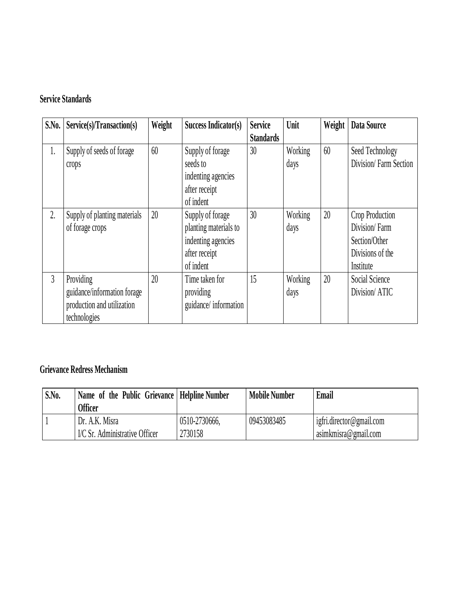### **Service Standards**

| S.No.          | Service(s)/Transaction(s)                                                              | Weight | Success Indicator(s)                                                                          | <b>Service</b><br><b>Standards</b> | Unit                   | Weight | Data Source                                                                        |
|----------------|----------------------------------------------------------------------------------------|--------|-----------------------------------------------------------------------------------------------|------------------------------------|------------------------|--------|------------------------------------------------------------------------------------|
| 1.             | Supply of seeds of forage<br>crops                                                     | 60     | Supply of forage<br>seeds to<br>indenting agencies<br>after receipt<br>of indent              | 30                                 | Working<br>days        | 60     | Seed Technology<br>Division/Farm Section                                           |
| 2.             | Supply of planting materials<br>of forage crops                                        | 20     | Supply of forage<br>planting materials to<br>indenting agencies<br>after receipt<br>of indent | 30                                 | <b>Working</b><br>days | 20     | Crop Production<br>Division/Farm<br>Section/Other<br>Divisions of the<br>Institute |
| $\overline{3}$ | Providing<br>guidance/information forage<br>production and utilization<br>technologies | 20     | Time taken for<br>providing<br>guidance/information                                           | 15                                 | Working<br>days        | 20     | Social Science<br>Division/ATIC                                                    |

## **Grievance Redress Mechanism**

| S.No. | Name of the Public Grievance   Helpline Number<br><b>Officer</b> |               | <b>Mobile Number</b> | Email                    |
|-------|------------------------------------------------------------------|---------------|----------------------|--------------------------|
|       | Dr. A.K. Misra                                                   | 0510-2730666. | 09453083485          | igfri.director@gmail.com |
|       | I/C Sr. Administrative Officer                                   | 2730158       |                      | asimkmisra@gmail.com     |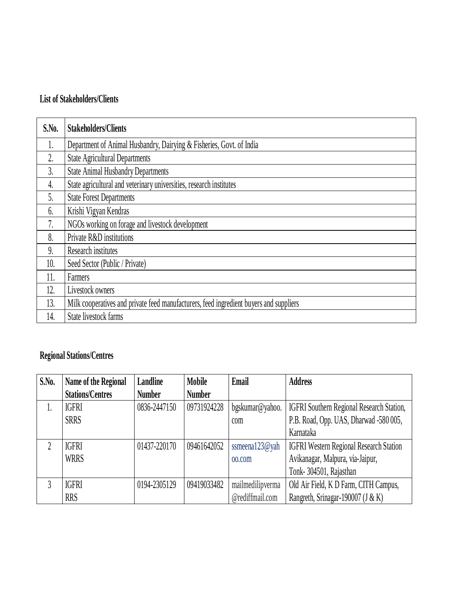### **List of Stakeholders/Clients**

| S.No. | <b>Stakeholders/Clients</b>                                                            |
|-------|----------------------------------------------------------------------------------------|
|       | Department of Animal Husbandry, Dairying & Fisheries, Govt. of India                   |
| 2.    | <b>State Agricultural Departments</b>                                                  |
| 3.    | <b>State Animal Husbandry Departments</b>                                              |
| 4.    | State agricultural and veterinary universities, research institutes                    |
| 5.    | <b>State Forest Departments</b>                                                        |
| 6.    | Krishi Vigyan Kendras                                                                  |
| 7.    | NGOs working on forage and livestock development                                       |
| 8.    | Private R&D institutions                                                               |
| 9.    | Research institutes                                                                    |
| 10.   | Seed Sector (Public / Private)                                                         |
| 11.   | Farmers                                                                                |
| 12.   | Livestock owners                                                                       |
| 13.   | Milk cooperatives and private feed manufacturers, feed ingredient buyers and suppliers |
| 14.   | State livestock farms                                                                  |

## **Regional Stations/Centres**

| S.No.          | Name of the Regional    | Landline      | <b>Mobile</b> | Email              | <b>Address</b>                                 |
|----------------|-------------------------|---------------|---------------|--------------------|------------------------------------------------|
|                | <b>Stations/Centres</b> | <b>Number</b> | <b>Number</b> |                    |                                                |
| I.             | <b>IGFRI</b>            | 0836-2447150  | 09731924228   | bgskumar@yahoo.    | IGFRI Southern Regional Research Station,      |
|                | <b>SRRS</b>             |               |               | com                | P.B. Road, Opp. UAS, Dharwad -580 005,         |
|                |                         |               |               |                    | Karnataka                                      |
| $\overline{2}$ | <b>IGFRI</b>            | 01437-220170  | 09461642052   | ssmeena $123@$ yah | <b>IGFRI Western Regional Research Station</b> |
|                | WRRS                    |               |               | 00.00m             | Avikanagar, Malpura, via-Jaipur,               |
|                |                         |               |               |                    | Tonk-304501, Rajasthan                         |
| 3              | <b>IGFRI</b>            | 0194-2305129  | 09419033482   | mailmedilipverma   | Old Air Field, K D Farm, CITH Campus,          |
|                | <b>RRS</b>              |               |               | @rediffmail.com    | Rangreth, Srinagar-190007 (J & K)              |